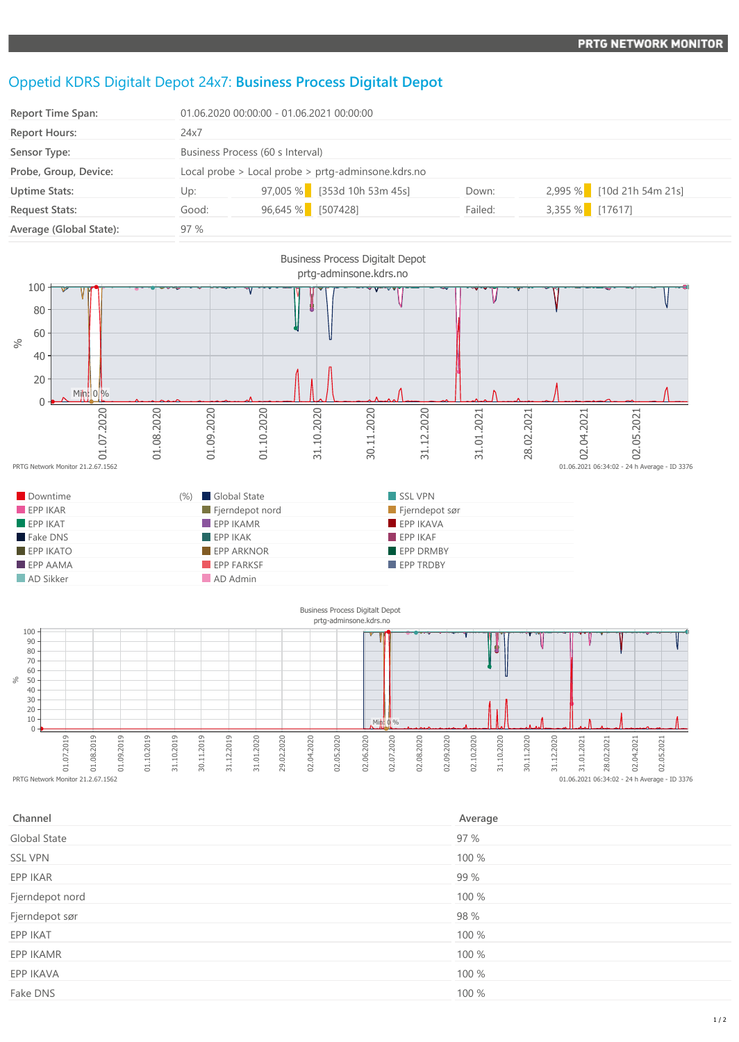## Oppetid KDRS Digitalt Depot 24x7: **Business Process Digitalt Depot**

| Report Time Span:       | 01.06.2020 00:00:00 - 01.06.2021 00:00:00          |                   |                             |         |                   |                           |
|-------------------------|----------------------------------------------------|-------------------|-----------------------------|---------|-------------------|---------------------------|
| <b>Report Hours:</b>    | 24x7                                               |                   |                             |         |                   |                           |
| Sensor Type:            | Business Process (60 s Interval)                   |                   |                             |         |                   |                           |
| Probe, Group, Device:   | Local probe > Local probe > prtg-adminsone.kdrs.no |                   |                             |         |                   |                           |
| <b>Uptime Stats:</b>    | Up:                                                |                   | 97,005 % [353d 10h 53m 45s] | Down:   |                   | 2,995 % [10d 21h 54m 21s] |
| <b>Request Stats:</b>   | Good:                                              | 96,645 % [507428] |                             | Failed: | $3,355\%$ [17617] |                           |
| Average (Global State): | 97 %                                               |                   |                             |         |                   |                           |



| Channel         | Average |
|-----------------|---------|
| Global State    | 97 %    |
| <b>SSL VPN</b>  | 100 %   |
| EPP IKAR        | 99 %    |
| Fjerndepot nord | 100 %   |
| Fjerndepot sør  | 98 %    |
| EPP IKAT        | 100 %   |
| EPP IKAMR       | 100 %   |
| EPP IKAVA       | 100 %   |
| Fake DNS        | 100 %   |